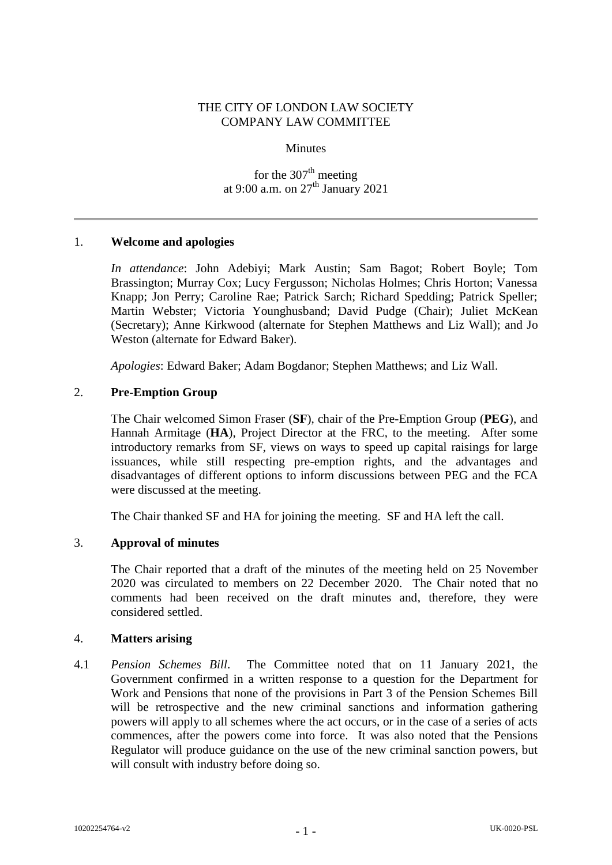# THE CITY OF LONDON LAW SOCIETY COMPANY LAW COMMITTEE

#### **Minutes**

for the  $307<sup>th</sup>$  meeting at 9:00 a.m. on 27<sup>th</sup> January 2021

## 1. **Welcome and apologies**

*In attendance*: John Adebiyi; Mark Austin; Sam Bagot; Robert Boyle; Tom Brassington; Murray Cox; Lucy Fergusson; Nicholas Holmes; Chris Horton; Vanessa Knapp; Jon Perry; Caroline Rae; Patrick Sarch; Richard Spedding; Patrick Speller; Martin Webster; Victoria Younghusband; David Pudge (Chair); Juliet McKean (Secretary); Anne Kirkwood (alternate for Stephen Matthews and Liz Wall); and Jo Weston (alternate for Edward Baker).

*Apologies*: Edward Baker; Adam Bogdanor; Stephen Matthews; and Liz Wall.

#### 2. **Pre-Emption Group**

The Chair welcomed Simon Fraser (**SF**), chair of the Pre-Emption Group (**PEG**), and Hannah Armitage (**HA**), Project Director at the FRC, to the meeting. After some introductory remarks from SF, views on ways to speed up capital raisings for large issuances, while still respecting pre-emption rights, and the advantages and disadvantages of different options to inform discussions between PEG and the FCA were discussed at the meeting.

The Chair thanked SF and HA for joining the meeting. SF and HA left the call.

## 3. **Approval of minutes**

The Chair reported that a draft of the minutes of the meeting held on 25 November 2020 was circulated to members on 22 December 2020. The Chair noted that no comments had been received on the draft minutes and, therefore, they were considered settled.

#### 4. **Matters arising**

4.1 *Pension Schemes Bill*. The Committee noted that on 11 January 2021, the Government confirmed in a written response to a question for the Department for Work and Pensions that none of the provisions in Part 3 of the Pension Schemes Bill will be retrospective and the new criminal sanctions and information gathering powers will apply to all schemes where the act occurs, or in the case of a series of acts commences, after the powers come into force. It was also noted that the Pensions Regulator will produce guidance on the use of the new criminal sanction powers, but will consult with industry before doing so.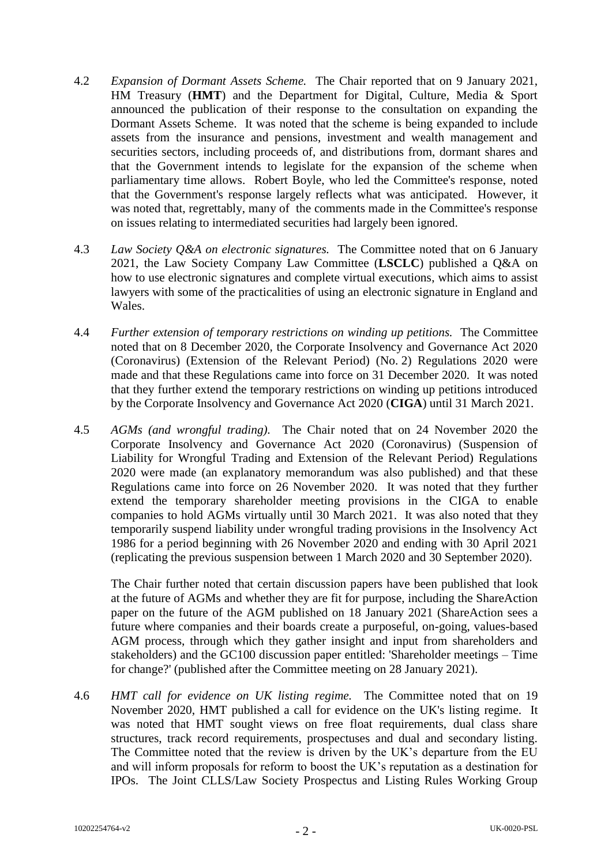- 4.2 *Expansion of Dormant Assets Scheme.* The Chair reported that on 9 January 2021, HM Treasury (**HMT**) and the Department for Digital, Culture, Media & Sport announced the publication of their response to the consultation on expanding the Dormant Assets Scheme. It was noted that the scheme is being expanded to include assets from the insurance and pensions, investment and wealth management and securities sectors, including proceeds of, and distributions from, dormant shares and that the Government intends to legislate for the expansion of the scheme when parliamentary time allows. Robert Boyle, who led the Committee's response, noted that the Government's response largely reflects what was anticipated. However, it was noted that, regrettably, many of the comments made in the Committee's response on issues relating to intermediated securities had largely been ignored.
- 4.3 *Law Society Q&A on electronic signatures.* The Committee noted that on 6 January 2021, the Law Society Company Law Committee (**LSCLC**) published a Q&A on how to use electronic signatures and complete virtual executions, which aims to assist lawyers with some of the practicalities of using an electronic signature in England and Wales.
- 4.4 *Further extension of temporary restrictions on winding up petitions.* The Committee noted that on 8 December 2020, the Corporate Insolvency and Governance Act 2020 (Coronavirus) (Extension of the Relevant Period) (No. 2) Regulations 2020 were made and that these Regulations came into force on 31 December 2020. It was noted that they further extend the temporary restrictions on winding up petitions introduced by the Corporate Insolvency and Governance Act 2020 (**CIGA**) until 31 March 2021.
- 4.5 *AGMs (and wrongful trading).* The Chair noted that on 24 November 2020 the Corporate Insolvency and Governance Act 2020 (Coronavirus) (Suspension of Liability for Wrongful Trading and Extension of the Relevant Period) Regulations 2020 were made (an explanatory memorandum was also published) and that these Regulations came into force on 26 November 2020. It was noted that they further extend the temporary shareholder meeting provisions in the CIGA to enable companies to hold AGMs virtually until 30 March 2021. It was also noted that they temporarily suspend liability under wrongful trading provisions in the Insolvency Act 1986 for a period beginning with 26 November 2020 and ending with 30 April 2021 (replicating the previous suspension between 1 March 2020 and 30 September 2020).

The Chair further noted that certain discussion papers have been published that look at the future of AGMs and whether they are fit for purpose, including the ShareAction paper on the future of the AGM published on 18 January 2021 (ShareAction sees a future where companies and their boards create a purposeful, on-going, values-based AGM process, through which they gather insight and input from shareholders and stakeholders) and the GC100 discussion paper entitled: 'Shareholder meetings – Time for change?' (published after the Committee meeting on 28 January 2021).

4.6 *HMT call for evidence on UK listing regime.* The Committee noted that on 19 November 2020, HMT published a call for evidence on the UK's listing regime. It was noted that HMT sought views on free float requirements, dual class share structures, track record requirements, prospectuses and dual and secondary listing. The Committee noted that the review is driven by the UK's departure from the EU and will inform proposals for reform to boost the UK's reputation as a destination for IPOs. The Joint CLLS/Law Society Prospectus and Listing Rules Working Group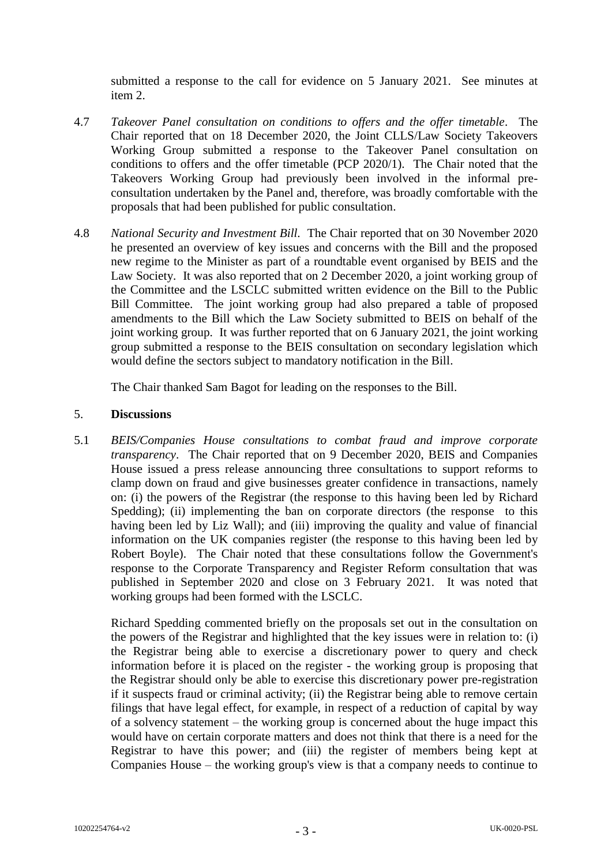submitted a response to the call for evidence on 5 January 2021. See minutes at item 2.

- 4.7 *Takeover Panel consultation on conditions to offers and the offer timetable*. The Chair reported that on 18 December 2020, the Joint CLLS/Law Society Takeovers Working Group submitted a response to the Takeover Panel consultation on conditions to offers and the offer timetable (PCP 2020/1). The Chair noted that the Takeovers Working Group had previously been involved in the informal preconsultation undertaken by the Panel and, therefore, was broadly comfortable with the proposals that had been published for public consultation.
- 4.8 *National Security and Investment Bill.* The Chair reported that on 30 November 2020 he presented an overview of key issues and concerns with the Bill and the proposed new regime to the Minister as part of a roundtable event organised by BEIS and the Law Society. It was also reported that on 2 December 2020, a joint working group of the Committee and the LSCLC submitted written evidence on the Bill to the Public Bill Committee. The joint working group had also prepared a table of proposed amendments to the Bill which the Law Society submitted to BEIS on behalf of the joint working group. It was further reported that on 6 January 2021, the joint working group submitted a response to the BEIS consultation on secondary legislation which would define the sectors subject to mandatory notification in the Bill.

The Chair thanked Sam Bagot for leading on the responses to the Bill.

# 5. **Discussions**

5.1 *BEIS/Companies House consultations to combat fraud and improve corporate transparency*. The Chair reported that on 9 December 2020, BEIS and Companies House issued a press release announcing three consultations to support reforms to clamp down on fraud and give businesses greater confidence in transactions, namely on: (i) the powers of the Registrar (the response to this having been led by Richard Spedding); (ii) implementing the ban on corporate directors (the response to this having been led by Liz Wall); and (iii) improving the quality and value of financial information on the UK companies register (the response to this having been led by Robert Boyle). The Chair noted that these consultations follow the Government's response to the Corporate Transparency and Register Reform consultation that was published in September 2020 and close on 3 February 2021. It was noted that working groups had been formed with the LSCLC.

Richard Spedding commented briefly on the proposals set out in the consultation on the powers of the Registrar and highlighted that the key issues were in relation to: (i) the Registrar being able to exercise a discretionary power to query and check information before it is placed on the register - the working group is proposing that the Registrar should only be able to exercise this discretionary power pre-registration if it suspects fraud or criminal activity; (ii) the Registrar being able to remove certain filings that have legal effect, for example, in respect of a reduction of capital by way of a solvency statement – the working group is concerned about the huge impact this would have on certain corporate matters and does not think that there is a need for the Registrar to have this power; and (iii) the register of members being kept at Companies House – the working group's view is that a company needs to continue to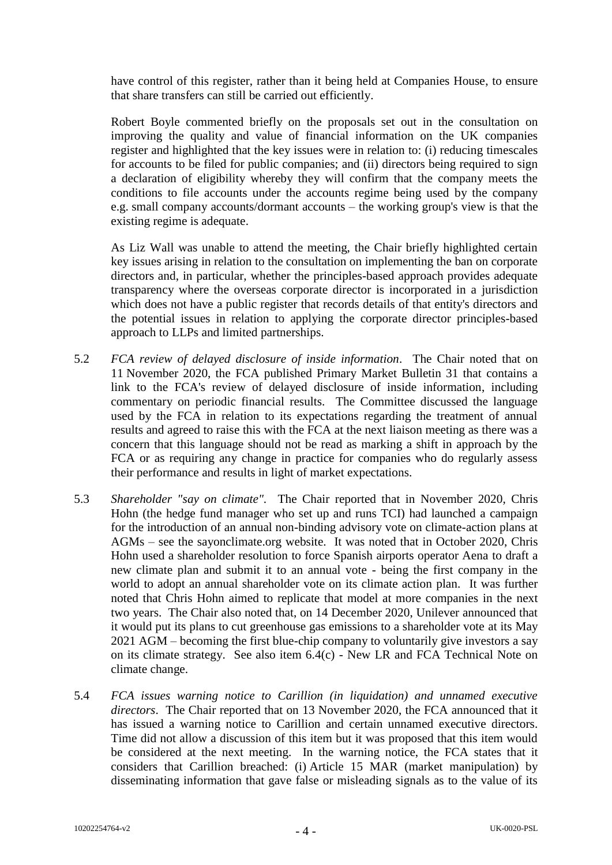have control of this register, rather than it being held at Companies House, to ensure that share transfers can still be carried out efficiently.

Robert Boyle commented briefly on the proposals set out in the consultation on improving the quality and value of financial information on the UK companies register and highlighted that the key issues were in relation to: (i) reducing timescales for accounts to be filed for public companies; and (ii) directors being required to sign a declaration of eligibility whereby they will confirm that the company meets the conditions to file accounts under the accounts regime being used by the company e.g. small company accounts/dormant accounts – the working group's view is that the existing regime is adequate.

As Liz Wall was unable to attend the meeting, the Chair briefly highlighted certain key issues arising in relation to the consultation on implementing the ban on corporate directors and, in particular, whether the principles-based approach provides adequate transparency where the overseas corporate director is incorporated in a jurisdiction which does not have a public register that records details of that entity's directors and the potential issues in relation to applying the corporate director principles-based approach to LLPs and limited partnerships.

- 5.2 *FCA review of delayed disclosure of inside information*. The Chair noted that on 11 November 2020, the FCA published Primary Market Bulletin 31 that contains a link to the FCA's review of delayed disclosure of inside information, including commentary on periodic financial results. The Committee discussed the language used by the FCA in relation to its expectations regarding the treatment of annual results and agreed to raise this with the FCA at the next liaison meeting as there was a concern that this language should not be read as marking a shift in approach by the FCA or as requiring any change in practice for companies who do regularly assess their performance and results in light of market expectations.
- 5.3 *Shareholder "say on climate".* The Chair reported that in November 2020, Chris Hohn (the hedge fund manager who set up and runs TCI) had launched a campaign for the introduction of an annual non-binding advisory vote on climate-action plans at AGMs – see the sayonclimate.org website. It was noted that in October 2020, Chris Hohn used a shareholder resolution to force Spanish airports operator Aena to draft a new climate plan and submit it to an annual vote - being the first company in the world to adopt an annual shareholder vote on its climate action plan. It was further noted that Chris Hohn aimed to replicate that model at more companies in the next two years. The Chair also noted that, on 14 December 2020, Unilever announced that it would put its plans to cut greenhouse gas emissions to a shareholder vote at its May 2021 AGM – becoming the first blue-chip company to voluntarily give investors a say on its climate strategy. See also item 6.4(c) - New LR and FCA Technical Note on climate change.
- 5.4 *FCA issues warning notice to Carillion (in liquidation) and unnamed executive directors*. The Chair reported that on 13 November 2020, the FCA announced that it has issued a warning notice to Carillion and certain unnamed executive directors. Time did not allow a discussion of this item but it was proposed that this item would be considered at the next meeting. In the warning notice, the FCA states that it considers that Carillion breached: (i) Article 15 MAR (market manipulation) by disseminating information that gave false or misleading signals as to the value of its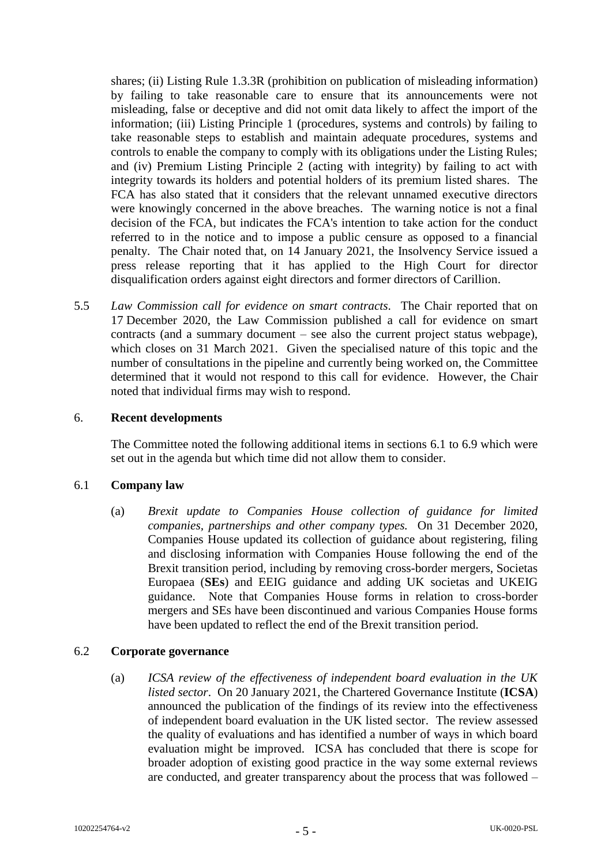shares; (ii) Listing Rule 1.3.3R (prohibition on publication of misleading information) by failing to take reasonable care to ensure that its announcements were not misleading, false or deceptive and did not omit data likely to affect the import of the information; (iii) Listing Principle 1 (procedures, systems and controls) by failing to take reasonable steps to establish and maintain adequate procedures, systems and controls to enable the company to comply with its obligations under the Listing Rules; and (iv) Premium Listing Principle 2 (acting with integrity) by failing to act with integrity towards its holders and potential holders of its premium listed shares. The FCA has also stated that it considers that the relevant unnamed executive directors were knowingly concerned in the above breaches. The warning notice is not a final decision of the FCA, but indicates the FCA's intention to take action for the conduct referred to in the notice and to impose a public censure as opposed to a financial penalty. The Chair noted that, on 14 January 2021, the Insolvency Service issued a press release reporting that it has applied to the High Court for director disqualification orders against eight directors and former directors of Carillion.

5.5 *Law Commission call for evidence on smart contracts.* The Chair reported that on 17 December 2020, the Law Commission published a call for evidence on smart contracts (and a summary document – see also the current project status webpage), which closes on 31 March 2021. Given the specialised nature of this topic and the number of consultations in the pipeline and currently being worked on, the Committee determined that it would not respond to this call for evidence. However, the Chair noted that individual firms may wish to respond.

## 6. **Recent developments**

The Committee noted the following additional items in sections 6.1 to 6.9 which were set out in the agenda but which time did not allow them to consider.

## 6.1 **Company law**

(a) *Brexit update to Companies House collection of guidance for limited companies, partnerships and other company types.* On 31 December 2020, Companies House updated its collection of guidance about registering, filing and disclosing information with Companies House following the end of the Brexit transition period, including by removing cross-border mergers, Societas Europaea (**SEs**) and EEIG guidance and adding UK societas and UKEIG guidance. Note that Companies House forms in relation to cross-border mergers and SEs have been discontinued and various Companies House forms have been updated to reflect the end of the Brexit transition period.

## 6.2 **Corporate governance**

(a) *ICSA review of the effectiveness of independent board evaluation in the UK listed sector*. On 20 January 2021, the Chartered Governance Institute (**ICSA**) announced the publication of the findings of its review into the effectiveness of independent board evaluation in the UK listed sector. The review assessed the quality of evaluations and has identified a number of ways in which board evaluation might be improved. ICSA has concluded that there is scope for broader adoption of existing good practice in the way some external reviews are conducted, and greater transparency about the process that was followed –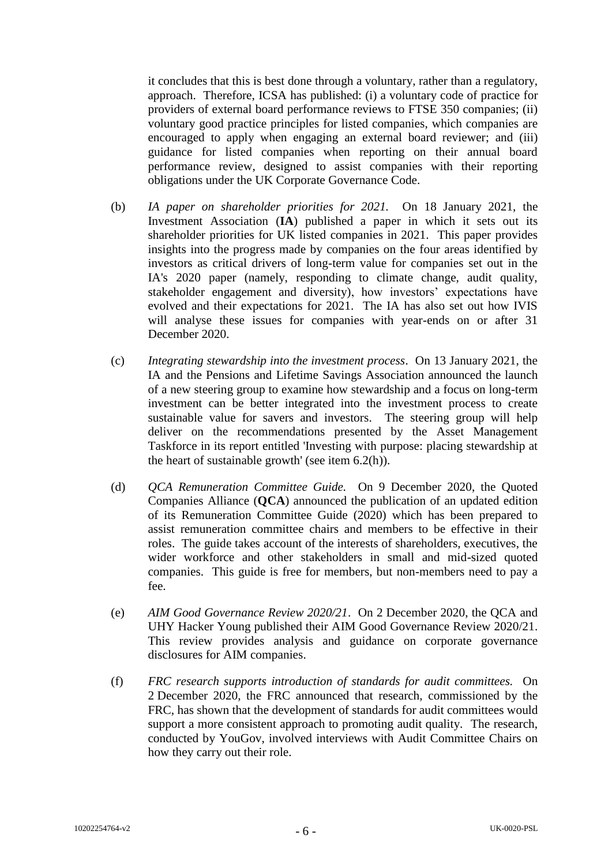it concludes that this is best done through a voluntary, rather than a regulatory, approach. Therefore, ICSA has published: (i) a voluntary code of practice for providers of external board performance reviews to FTSE 350 companies; (ii) voluntary good practice principles for listed companies, which companies are encouraged to apply when engaging an external board reviewer; and (iii) guidance for listed companies when reporting on their annual board performance review, designed to assist companies with their reporting obligations under the UK Corporate Governance Code.

- (b) *IA paper on shareholder priorities for 2021.* On 18 January 2021, the Investment Association (**IA**) published a paper in which it sets out its shareholder priorities for UK listed companies in 2021. This paper provides insights into the progress made by companies on the four areas identified by investors as critical drivers of long-term value for companies set out in the IA's 2020 paper (namely, responding to climate change, audit quality, stakeholder engagement and diversity), how investors' expectations have evolved and their expectations for 2021. The IA has also set out how IVIS will analyse these issues for companies with year-ends on or after 31 December 2020.
- (c) *Integrating stewardship into the investment process*. On 13 January 2021, the IA and the Pensions and Lifetime Savings Association announced the launch of a new steering group to examine how stewardship and a focus on long-term investment can be better integrated into the investment process to create sustainable value for savers and investors. The steering group will help deliver on the recommendations presented by the Asset Management Taskforce in its report entitled 'Investing with purpose: placing stewardship at the heart of sustainable growth' (see item 6.2(h)).
- (d) *QCA Remuneration Committee Guide.* On 9 December 2020, the Quoted Companies Alliance (**QCA**) announced the publication of an updated edition of its Remuneration Committee Guide (2020) which has been prepared to assist remuneration committee chairs and members to be effective in their roles. The guide takes account of the interests of shareholders, executives, the wider workforce and other stakeholders in small and mid-sized quoted companies. This guide is free for members, but non-members need to pay a fee.
- (e) *AIM Good Governance Review 2020/21*. On 2 December 2020, the QCA and UHY Hacker Young published their AIM Good Governance Review 2020/21. This review provides analysis and guidance on corporate governance disclosures for AIM companies.
- (f) *FRC research supports introduction of standards for audit committees.* On 2 December 2020, the FRC announced that research, commissioned by the FRC, has shown that the development of standards for audit committees would support a more consistent approach to promoting audit quality. The research, conducted by YouGov, involved interviews with Audit Committee Chairs on how they carry out their role.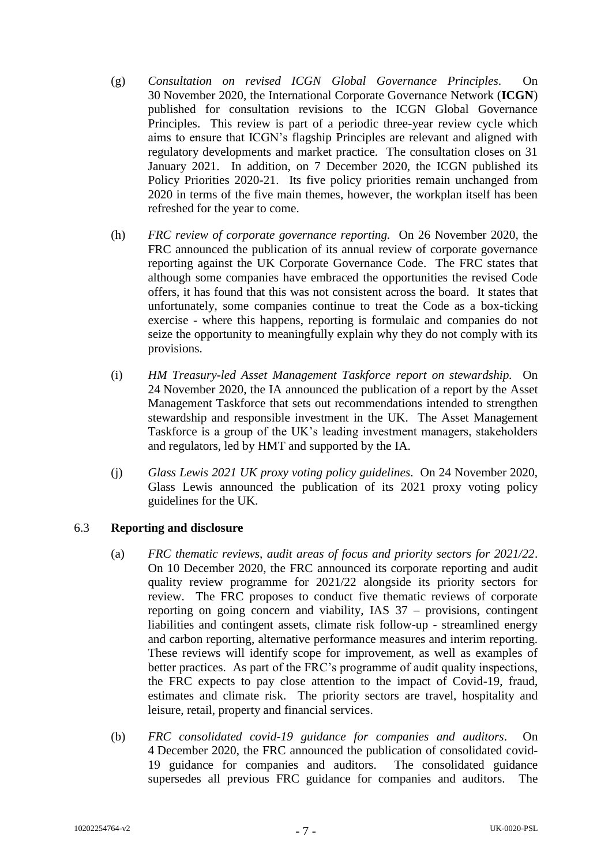- (g) *Consultation on revised ICGN Global Governance Principles*. On 30 November 2020, the International Corporate Governance Network (**ICGN**) published for consultation revisions to the ICGN Global Governance Principles. This review is part of a periodic three-year review cycle which aims to ensure that ICGN's flagship Principles are relevant and aligned with regulatory developments and market practice. The consultation closes on 31 January 2021. In addition, on 7 December 2020, the ICGN published its Policy Priorities 2020-21. Its five policy priorities remain unchanged from 2020 in terms of the five main themes, however, the workplan itself has been refreshed for the year to come.
- (h) *FRC review of corporate governance reporting.* On 26 November 2020, the FRC announced the publication of its annual review of corporate governance reporting against the UK Corporate Governance Code. The FRC states that although some companies have embraced the opportunities the revised Code offers, it has found that this was not consistent across the board. It states that unfortunately, some companies continue to treat the Code as a box-ticking exercise - where this happens, reporting is formulaic and companies do not seize the opportunity to meaningfully explain why they do not comply with its provisions.
- (i) *HM Treasury-led Asset Management Taskforce report on stewardship.* On 24 November 2020, the IA announced the publication of a report by the Asset Management Taskforce that sets out recommendations intended to strengthen stewardship and responsible investment in the UK. The Asset Management Taskforce is a group of the UK's leading investment managers, stakeholders and regulators, led by HMT and supported by the IA.
- (j) *Glass Lewis 2021 UK proxy voting policy guidelines*. On 24 November 2020, Glass Lewis announced the publication of its 2021 proxy voting policy guidelines for the UK.

# 6.3 **Reporting and disclosure**

- (a) *FRC thematic reviews, audit areas of focus and priority sectors for 2021/22*. On 10 December 2020, the FRC announced its corporate reporting and audit quality review programme for 2021/22 alongside its priority sectors for review. The FRC proposes to conduct five thematic reviews of corporate reporting on going concern and viability, IAS 37 – provisions, contingent liabilities and contingent assets, climate risk follow-up - streamlined energy and carbon reporting, alternative performance measures and interim reporting. These reviews will identify scope for improvement, as well as examples of better practices. As part of the FRC's programme of audit quality inspections, the FRC expects to pay close attention to the impact of Covid-19, fraud, estimates and climate risk. The priority sectors are travel, hospitality and leisure, retail, property and financial services.
- (b) *FRC consolidated covid-19 guidance for companies and auditors*. On 4 December 2020, the FRC announced the publication of consolidated covid-19 guidance for companies and auditors. The consolidated guidance supersedes all previous FRC guidance for companies and auditors. The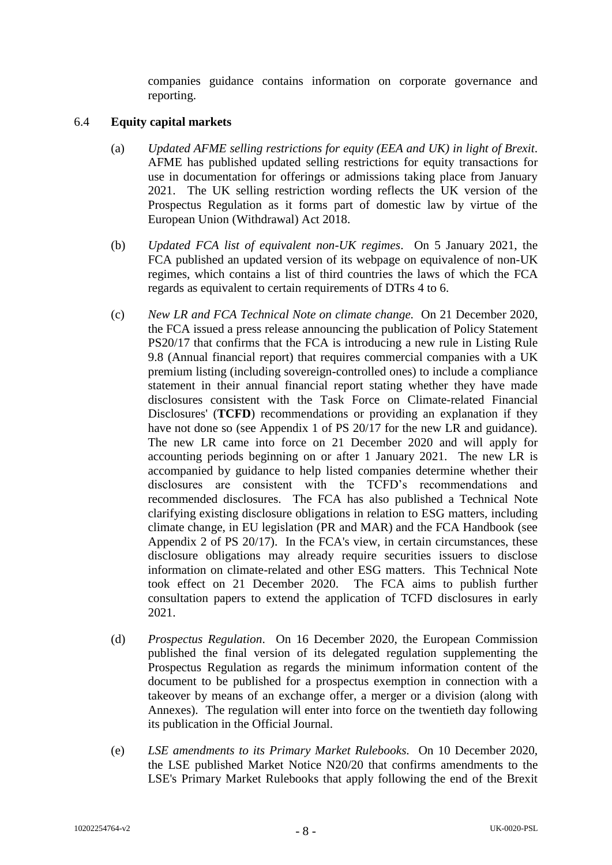companies guidance contains information on corporate governance and reporting.

# 6.4 **Equity capital markets**

- (a) *Updated AFME selling restrictions for equity (EEA and UK) in light of Brexit*. AFME has published updated selling restrictions for equity transactions for use in documentation for offerings or admissions taking place from January 2021. The UK selling restriction wording reflects the UK version of the Prospectus Regulation as it forms part of domestic law by virtue of the European Union (Withdrawal) Act 2018.
- (b) *Updated FCA list of equivalent non-UK regimes*. On 5 January 2021, the FCA published an updated version of its webpage on equivalence of non-UK regimes, which contains a list of third countries the laws of which the FCA regards as equivalent to certain requirements of DTRs 4 to 6.
- (c) *New LR and FCA Technical Note on climate change.* On 21 December 2020, the FCA issued a press release announcing the publication of Policy Statement PS20/17 that confirms that the FCA is introducing a new rule in Listing Rule 9.8 (Annual financial report) that requires commercial companies with a UK premium listing (including sovereign-controlled ones) to include a compliance statement in their annual financial report stating whether they have made disclosures consistent with the Task Force on Climate-related Financial Disclosures' (**TCFD**) recommendations or providing an explanation if they have not done so (see Appendix 1 of PS 20/17 for the new LR and guidance). The new LR came into force on 21 December 2020 and will apply for accounting periods beginning on or after 1 January 2021. The new LR is accompanied by guidance to help listed companies determine whether their disclosures are consistent with the TCFD's recommendations and recommended disclosures. The FCA has also published a Technical Note clarifying existing disclosure obligations in relation to ESG matters, including climate change, in EU legislation (PR and MAR) and the FCA Handbook (see Appendix 2 of PS 20/17). In the FCA's view, in certain circumstances, these disclosure obligations may already require securities issuers to disclose information on climate-related and other ESG matters. This Technical Note took effect on 21 December 2020. The FCA aims to publish further consultation papers to extend the application of TCFD disclosures in early 2021.
- (d) *Prospectus Regulation*. On 16 December 2020, the European Commission published the final version of its delegated regulation supplementing the Prospectus Regulation as regards the minimum information content of the document to be published for a prospectus exemption in connection with a takeover by means of an exchange offer, a merger or a division (along with Annexes). The regulation will enter into force on the twentieth day following its publication in the Official Journal.
- (e) *LSE amendments to its Primary Market Rulebooks.* On 10 December 2020, the LSE published Market Notice N20/20 that confirms amendments to the LSE's Primary Market Rulebooks that apply following the end of the Brexit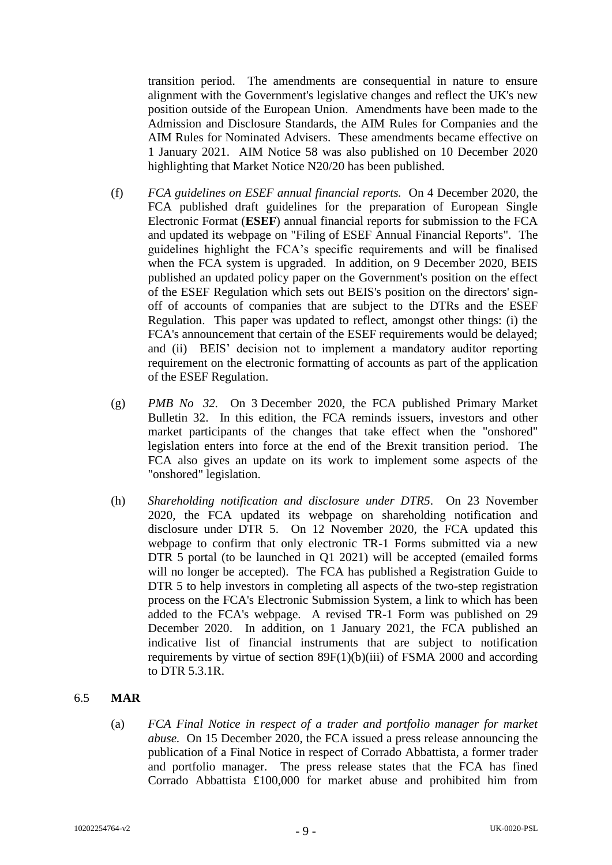transition period. The amendments are consequential in nature to ensure alignment with the Government's legislative changes and reflect the UK's new position outside of the European Union. Amendments have been made to the Admission and Disclosure Standards, the AIM Rules for Companies and the AIM Rules for Nominated Advisers. These amendments became effective on 1 January 2021. AIM Notice 58 was also published on 10 December 2020 highlighting that Market Notice N20/20 has been published.

- (f) *FCA guidelines on ESEF annual financial reports.* On 4 December 2020, the FCA published draft guidelines for the preparation of European Single Electronic Format (**ESEF**) annual financial reports for submission to the FCA and updated its webpage on "Filing of ESEF Annual Financial Reports". The guidelines highlight the FCA's specific requirements and will be finalised when the FCA system is upgraded. In addition, on 9 December 2020, BEIS published an updated policy paper on the Government's position on the effect of the ESEF Regulation which sets out BEIS's position on the directors' signoff of accounts of companies that are subject to the DTRs and the ESEF Regulation. This paper was updated to reflect, amongst other things: (i) the FCA's announcement that certain of the ESEF requirements would be delayed; and (ii) BEIS' decision not to implement a mandatory auditor reporting requirement on the electronic formatting of accounts as part of the application of the ESEF Regulation.
- (g) *PMB No 32.* On 3 December 2020, the FCA published Primary Market Bulletin 32. In this edition, the FCA reminds issuers, investors and other market participants of the changes that take effect when the "onshored" legislation enters into force at the end of the Brexit transition period. The FCA also gives an update on its work to implement some aspects of the "onshored" legislation.
- (h) *Shareholding notification and disclosure under DTR5*. On 23 November 2020, the FCA updated its webpage on shareholding notification and disclosure under DTR 5. On 12 November 2020, the FCA updated this webpage to confirm that only electronic TR-1 Forms submitted via a new DTR 5 portal (to be launched in Q1 2021) will be accepted (emailed forms will no longer be accepted). The FCA has published a Registration Guide to DTR 5 to help investors in completing all aspects of the two-step registration process on the FCA's Electronic Submission System, a link to which has been added to the FCA's webpage. A revised TR-1 Form was published on 29 December 2020. In addition, on 1 January 2021, the FCA published an indicative list of financial instruments that are subject to notification requirements by virtue of section 89F(1)(b)(iii) of FSMA 2000 and according to DTR 5.3.1R.

## 6.5 **MAR**

(a) *FCA Final Notice in respect of a trader and portfolio manager for market abuse.* On 15 December 2020, the FCA issued a press release announcing the publication of a Final Notice in respect of Corrado Abbattista, a former trader and portfolio manager. The press release states that the FCA has fined Corrado Abbattista £100,000 for market abuse and prohibited him from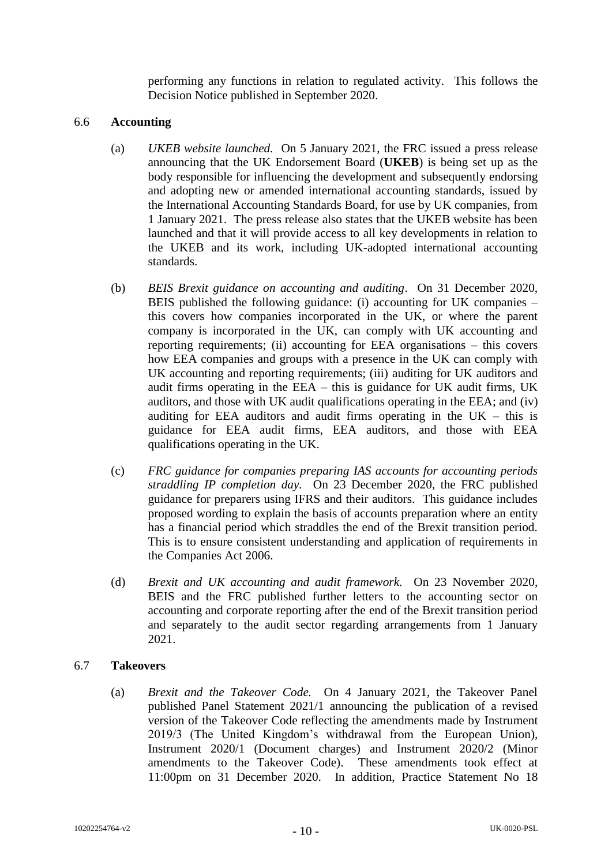performing any functions in relation to regulated activity. This follows the Decision Notice published in September 2020.

## 6.6 **Accounting**

- (a) *UKEB website launched.* On 5 January 2021, the FRC issued a press release announcing that the UK Endorsement Board (**UKEB**) is being set up as the body responsible for influencing the development and subsequently endorsing and adopting new or amended international accounting standards, issued by the International Accounting Standards Board, for use by UK companies, from 1 January 2021. The press release also states that the UKEB website has been launched and that it will provide access to all key developments in relation to the UKEB and its work, including UK-adopted international accounting standards.
- (b) *BEIS Brexit guidance on accounting and auditing*. On 31 December 2020, BEIS published the following guidance: (i) accounting for UK companies – this covers how companies incorporated in the UK, or where the parent company is incorporated in the UK, can comply with UK accounting and reporting requirements; (ii) accounting for EEA organisations – this covers how EEA companies and groups with a presence in the UK can comply with UK accounting and reporting requirements; (iii) auditing for UK auditors and audit firms operating in the EEA – this is guidance for UK audit firms, UK auditors, and those with UK audit qualifications operating in the EEA; and (iv) auditing for EEA auditors and audit firms operating in the  $UK - this$  is guidance for EEA audit firms, EEA auditors, and those with EEA qualifications operating in the UK.
- (c) *FRC guidance for companies preparing IAS accounts for accounting periods straddling IP completion day.* On 23 December 2020, the FRC published guidance for preparers using IFRS and their auditors. This guidance includes proposed wording to explain the basis of accounts preparation where an entity has a financial period which straddles the end of the Brexit transition period. This is to ensure consistent understanding and application of requirements in the Companies Act 2006.
- (d) *Brexit and UK accounting and audit framework.* On 23 November 2020, BEIS and the FRC published further letters to the accounting sector on accounting and corporate reporting after the end of the Brexit transition period and separately to the audit sector regarding arrangements from 1 January 2021.

## 6.7 **Takeovers**

(a) *Brexit and the Takeover Code.* On 4 January 2021, the Takeover Panel published Panel Statement 2021/1 announcing the publication of a revised version of the Takeover Code reflecting the amendments made by Instrument 2019/3 (The United Kingdom's withdrawal from the European Union), Instrument 2020/1 (Document charges) and Instrument 2020/2 (Minor amendments to the Takeover Code). These amendments took effect at 11:00pm on 31 December 2020. In addition, Practice Statement No 18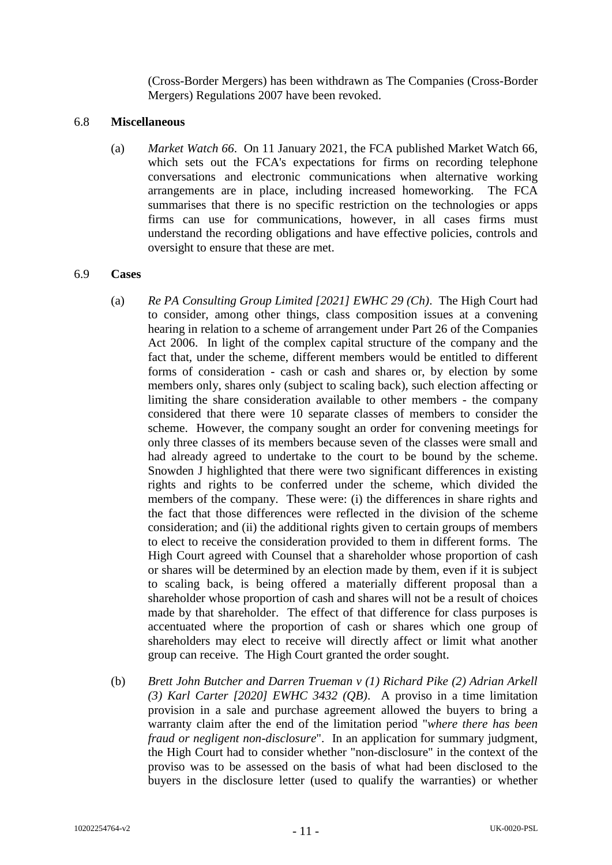(Cross-Border Mergers) has been withdrawn as The Companies (Cross-Border Mergers) Regulations 2007 have been revoked.

#### 6.8 **Miscellaneous**

(a) *Market Watch 66*. On 11 January 2021, the FCA published Market Watch 66, which sets out the FCA's expectations for firms on recording telephone conversations and electronic communications when alternative working arrangements are in place, including increased homeworking. The FCA summarises that there is no specific restriction on the technologies or apps firms can use for communications, however, in all cases firms must understand the recording obligations and have effective policies, controls and oversight to ensure that these are met.

#### 6.9 **Cases**

- (a) *Re PA Consulting Group Limited [2021] EWHC 29 (Ch)*. The High Court had to consider, among other things, class composition issues at a convening hearing in relation to a scheme of arrangement under Part 26 of the Companies Act 2006. In light of the complex capital structure of the company and the fact that, under the scheme, different members would be entitled to different forms of consideration - cash or cash and shares or, by election by some members only, shares only (subject to scaling back), such election affecting or limiting the share consideration available to other members - the company considered that there were 10 separate classes of members to consider the scheme. However, the company sought an order for convening meetings for only three classes of its members because seven of the classes were small and had already agreed to undertake to the court to be bound by the scheme. Snowden J highlighted that there were two significant differences in existing rights and rights to be conferred under the scheme, which divided the members of the company. These were: (i) the differences in share rights and the fact that those differences were reflected in the division of the scheme consideration; and (ii) the additional rights given to certain groups of members to elect to receive the consideration provided to them in different forms. The High Court agreed with Counsel that a shareholder whose proportion of cash or shares will be determined by an election made by them, even if it is subject to scaling back, is being offered a materially different proposal than a shareholder whose proportion of cash and shares will not be a result of choices made by that shareholder. The effect of that difference for class purposes is accentuated where the proportion of cash or shares which one group of shareholders may elect to receive will directly affect or limit what another group can receive. The High Court granted the order sought.
- (b) *Brett John Butcher and Darren Trueman v (1) Richard Pike (2) Adrian Arkell (3) Karl Carter [2020] EWHC 3432 (QB)*. A proviso in a time limitation provision in a sale and purchase agreement allowed the buyers to bring a warranty claim after the end of the limitation period "*where there has been fraud or negligent non-disclosure*". In an application for summary judgment, the High Court had to consider whether "non-disclosure" in the context of the proviso was to be assessed on the basis of what had been disclosed to the buyers in the disclosure letter (used to qualify the warranties) or whether